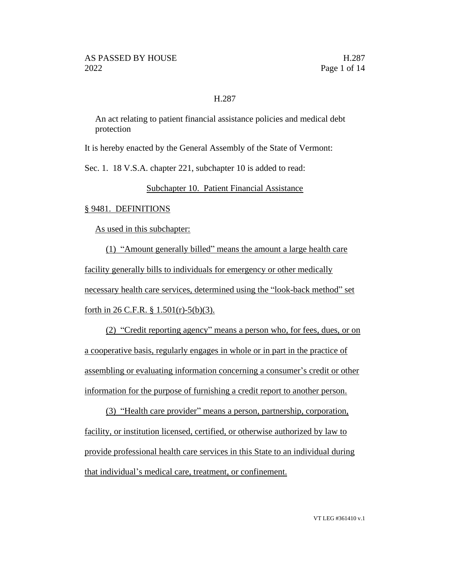### H.287

An act relating to patient financial assistance policies and medical debt protection

It is hereby enacted by the General Assembly of the State of Vermont:

Sec. 1. 18 V.S.A. chapter 221, subchapter 10 is added to read:

Subchapter 10. Patient Financial Assistance

#### § 9481. DEFINITIONS

As used in this subchapter:

(1) "Amount generally billed" means the amount a large health care facility generally bills to individuals for emergency or other medically necessary health care services, determined using the "look-back method" set forth in 26 C.F.R.  $\S$  1.501(r)-5(b)(3).

(2) "Credit reporting agency" means a person who, for fees, dues, or on a cooperative basis, regularly engages in whole or in part in the practice of assembling or evaluating information concerning a consumer's credit or other information for the purpose of furnishing a credit report to another person.

(3) "Health care provider" means a person, partnership, corporation, facility, or institution licensed, certified, or otherwise authorized by law to provide professional health care services in this State to an individual during that individual's medical care, treatment, or confinement.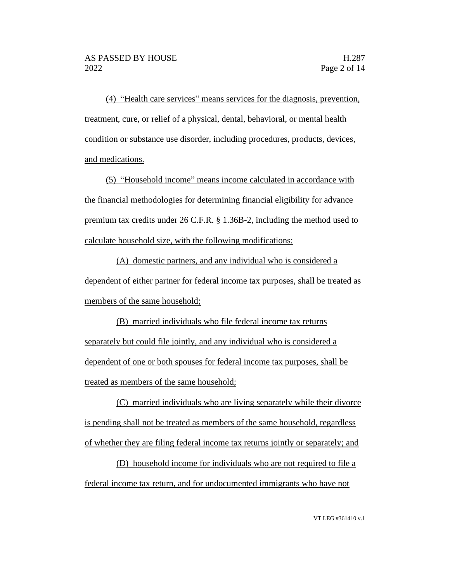(4) "Health care services" means services for the diagnosis, prevention, treatment, cure, or relief of a physical, dental, behavioral, or mental health condition or substance use disorder, including procedures, products, devices, and medications.

(5) "Household income" means income calculated in accordance with the financial methodologies for determining financial eligibility for advance premium tax credits under 26 C.F.R. § 1.36B-2, including the method used to calculate household size, with the following modifications:

(A) domestic partners, and any individual who is considered a dependent of either partner for federal income tax purposes, shall be treated as members of the same household;

(B) married individuals who file federal income tax returns separately but could file jointly, and any individual who is considered a dependent of one or both spouses for federal income tax purposes, shall be treated as members of the same household;

(C) married individuals who are living separately while their divorce is pending shall not be treated as members of the same household, regardless of whether they are filing federal income tax returns jointly or separately; and

(D) household income for individuals who are not required to file a federal income tax return, and for undocumented immigrants who have not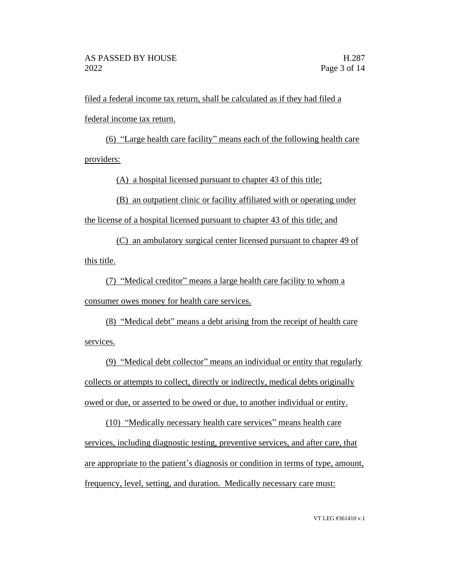filed a federal income tax return, shall be calculated as if they had filed a federal income tax return.

(6) "Large health care facility" means each of the following health care providers:

(A) a hospital licensed pursuant to chapter 43 of this title;

(B) an outpatient clinic or facility affiliated with or operating under the license of a hospital licensed pursuant to chapter 43 of this title; and

(C) an ambulatory surgical center licensed pursuant to chapter 49 of this title.

(7) "Medical creditor" means a large health care facility to whom a consumer owes money for health care services.

(8) "Medical debt" means a debt arising from the receipt of health care services.

(9) "Medical debt collector" means an individual or entity that regularly collects or attempts to collect, directly or indirectly, medical debts originally owed or due, or asserted to be owed or due, to another individual or entity.

(10) "Medically necessary health care services" means health care services, including diagnostic testing, preventive services, and after care, that are appropriate to the patient's diagnosis or condition in terms of type, amount, frequency, level, setting, and duration. Medically necessary care must: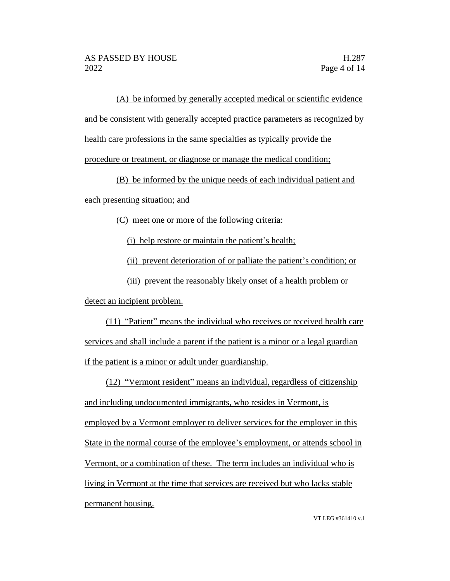(A) be informed by generally accepted medical or scientific evidence and be consistent with generally accepted practice parameters as recognized by

health care professions in the same specialties as typically provide the

procedure or treatment, or diagnose or manage the medical condition;

(B) be informed by the unique needs of each individual patient and each presenting situation; and

(C) meet one or more of the following criteria:

(i) help restore or maintain the patient's health;

(ii) prevent deterioration of or palliate the patient's condition; or

(iii) prevent the reasonably likely onset of a health problem or detect an incipient problem.

(11) "Patient" means the individual who receives or received health care services and shall include a parent if the patient is a minor or a legal guardian if the patient is a minor or adult under guardianship.

(12) "Vermont resident" means an individual, regardless of citizenship and including undocumented immigrants, who resides in Vermont, is employed by a Vermont employer to deliver services for the employer in this State in the normal course of the employee's employment, or attends school in Vermont, or a combination of these. The term includes an individual who is living in Vermont at the time that services are received but who lacks stable permanent housing.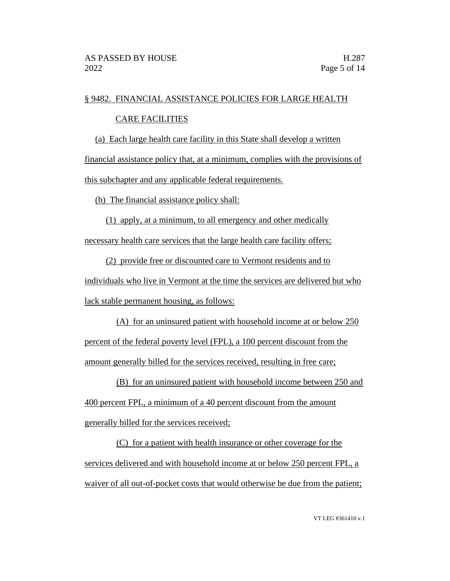### § 9482. FINANCIAL ASSISTANCE POLICIES FOR LARGE HEALTH

# CARE FACILITIES

(a) Each large health care facility in this State shall develop a written

financial assistance policy that, at a minimum, complies with the provisions of this subchapter and any applicable federal requirements.

(b) The financial assistance policy shall:

(1) apply, at a minimum, to all emergency and other medically necessary health care services that the large health care facility offers;

(2) provide free or discounted care to Vermont residents and to individuals who live in Vermont at the time the services are delivered but who lack stable permanent housing, as follows:

(A) for an uninsured patient with household income at or below 250 percent of the federal poverty level (FPL), a 100 percent discount from the amount generally billed for the services received, resulting in free care;

(B) for an uninsured patient with household income between 250 and 400 percent FPL, a minimum of a 40 percent discount from the amount generally billed for the services received;

(C) for a patient with health insurance or other coverage for the services delivered and with household income at or below 250 percent FPL, a waiver of all out-of-pocket costs that would otherwise be due from the patient;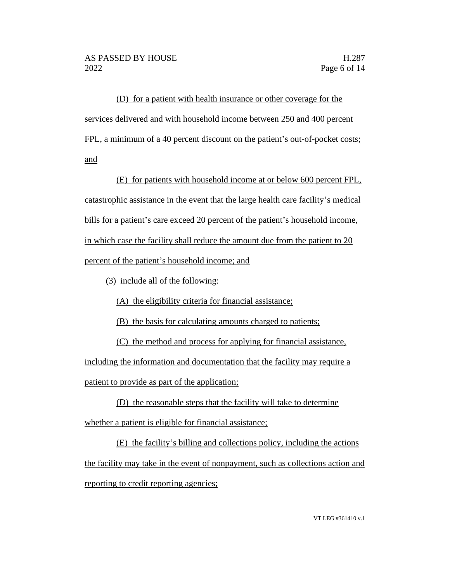(D) for a patient with health insurance or other coverage for the services delivered and with household income between 250 and 400 percent FPL, a minimum of a 40 percent discount on the patient's out-of-pocket costs; and

(E) for patients with household income at or below 600 percent FPL, catastrophic assistance in the event that the large health care facility's medical bills for a patient's care exceed 20 percent of the patient's household income, in which case the facility shall reduce the amount due from the patient to 20 percent of the patient's household income; and

(3) include all of the following:

(A) the eligibility criteria for financial assistance;

(B) the basis for calculating amounts charged to patients;

(C) the method and process for applying for financial assistance,

including the information and documentation that the facility may require a patient to provide as part of the application;

(D) the reasonable steps that the facility will take to determine whether a patient is eligible for financial assistance;

(E) the facility's billing and collections policy, including the actions the facility may take in the event of nonpayment, such as collections action and reporting to credit reporting agencies;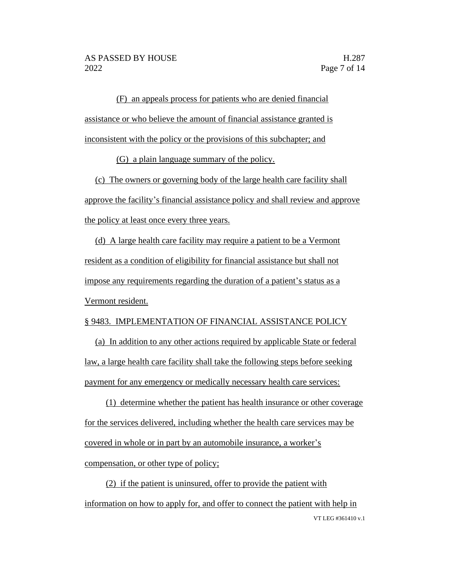(F) an appeals process for patients who are denied financial assistance or who believe the amount of financial assistance granted is inconsistent with the policy or the provisions of this subchapter; and

(G) a plain language summary of the policy.

(c) The owners or governing body of the large health care facility shall approve the facility's financial assistance policy and shall review and approve the policy at least once every three years.

(d) A large health care facility may require a patient to be a Vermont resident as a condition of eligibility for financial assistance but shall not impose any requirements regarding the duration of a patient's status as a Vermont resident.

#### § 9483. IMPLEMENTATION OF FINANCIAL ASSISTANCE POLICY

(a) In addition to any other actions required by applicable State or federal law, a large health care facility shall take the following steps before seeking payment for any emergency or medically necessary health care services:

(1) determine whether the patient has health insurance or other coverage for the services delivered, including whether the health care services may be covered in whole or in part by an automobile insurance, a worker's compensation, or other type of policy;

VT LEG #361410 v.1 (2) if the patient is uninsured, offer to provide the patient with information on how to apply for, and offer to connect the patient with help in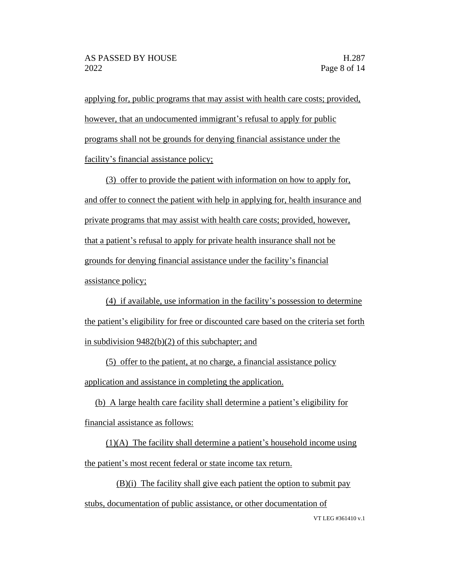applying for, public programs that may assist with health care costs; provided, however, that an undocumented immigrant's refusal to apply for public programs shall not be grounds for denying financial assistance under the facility's financial assistance policy;

(3) offer to provide the patient with information on how to apply for, and offer to connect the patient with help in applying for, health insurance and private programs that may assist with health care costs; provided, however, that a patient's refusal to apply for private health insurance shall not be grounds for denying financial assistance under the facility's financial assistance policy;

(4) if available, use information in the facility's possession to determine the patient's eligibility for free or discounted care based on the criteria set forth in subdivision 9482(b)(2) of this subchapter; and

(5) offer to the patient, at no charge, a financial assistance policy application and assistance in completing the application.

(b) A large health care facility shall determine a patient's eligibility for financial assistance as follows:

 $(1)(A)$  The facility shall determine a patient's household income using the patient's most recent federal or state income tax return.

(B)(i) The facility shall give each patient the option to submit pay

stubs, documentation of public assistance, or other documentation of

VT LEG #361410 v.1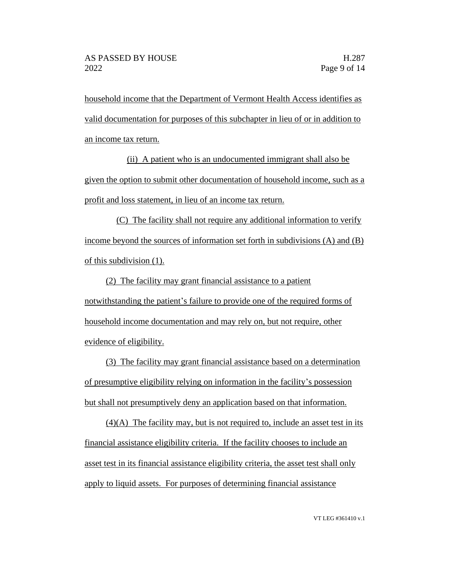household income that the Department of Vermont Health Access identifies as valid documentation for purposes of this subchapter in lieu of or in addition to an income tax return.

(ii) A patient who is an undocumented immigrant shall also be given the option to submit other documentation of household income, such as a profit and loss statement, in lieu of an income tax return.

(C) The facility shall not require any additional information to verify income beyond the sources of information set forth in subdivisions (A) and (B) of this subdivision (1).

(2) The facility may grant financial assistance to a patient notwithstanding the patient's failure to provide one of the required forms of household income documentation and may rely on, but not require, other evidence of eligibility.

(3) The facility may grant financial assistance based on a determination of presumptive eligibility relying on information in the facility's possession but shall not presumptively deny an application based on that information.

(4)(A) The facility may, but is not required to, include an asset test in its financial assistance eligibility criteria. If the facility chooses to include an asset test in its financial assistance eligibility criteria, the asset test shall only apply to liquid assets. For purposes of determining financial assistance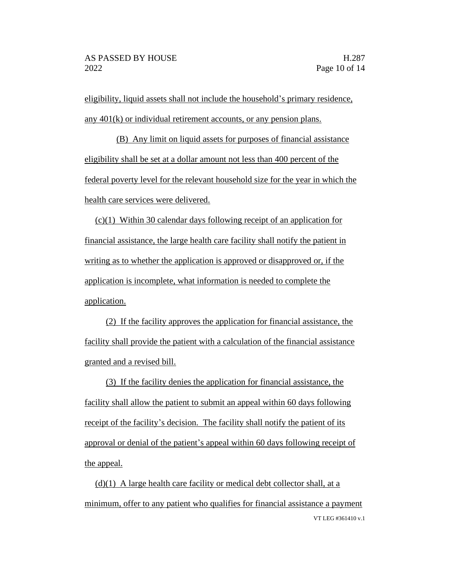eligibility, liquid assets shall not include the household's primary residence, any 401(k) or individual retirement accounts, or any pension plans.

(B) Any limit on liquid assets for purposes of financial assistance eligibility shall be set at a dollar amount not less than 400 percent of the federal poverty level for the relevant household size for the year in which the health care services were delivered.

(c)(1) Within 30 calendar days following receipt of an application for financial assistance, the large health care facility shall notify the patient in writing as to whether the application is approved or disapproved or, if the application is incomplete, what information is needed to complete the application.

(2) If the facility approves the application for financial assistance, the facility shall provide the patient with a calculation of the financial assistance granted and a revised bill.

(3) If the facility denies the application for financial assistance, the facility shall allow the patient to submit an appeal within 60 days following receipt of the facility's decision. The facility shall notify the patient of its approval or denial of the patient's appeal within 60 days following receipt of the appeal.

VT LEG #361410 v.1  $(d)(1)$  A large health care facility or medical debt collector shall, at a minimum, offer to any patient who qualifies for financial assistance a payment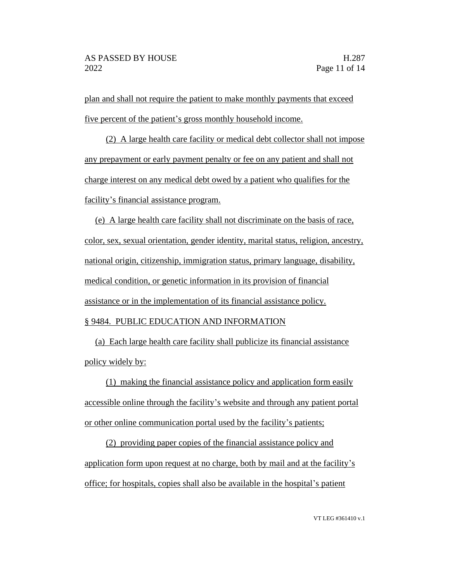plan and shall not require the patient to make monthly payments that exceed five percent of the patient's gross monthly household income.

(2) A large health care facility or medical debt collector shall not impose any prepayment or early payment penalty or fee on any patient and shall not charge interest on any medical debt owed by a patient who qualifies for the facility's financial assistance program.

(e) A large health care facility shall not discriminate on the basis of race, color, sex, sexual orientation, gender identity, marital status, religion, ancestry, national origin, citizenship, immigration status, primary language, disability, medical condition, or genetic information in its provision of financial assistance or in the implementation of its financial assistance policy. § 9484. PUBLIC EDUCATION AND INFORMATION

(a) Each large health care facility shall publicize its financial assistance policy widely by:

(1) making the financial assistance policy and application form easily accessible online through the facility's website and through any patient portal or other online communication portal used by the facility's patients;

(2) providing paper copies of the financial assistance policy and application form upon request at no charge, both by mail and at the facility's office; for hospitals, copies shall also be available in the hospital's patient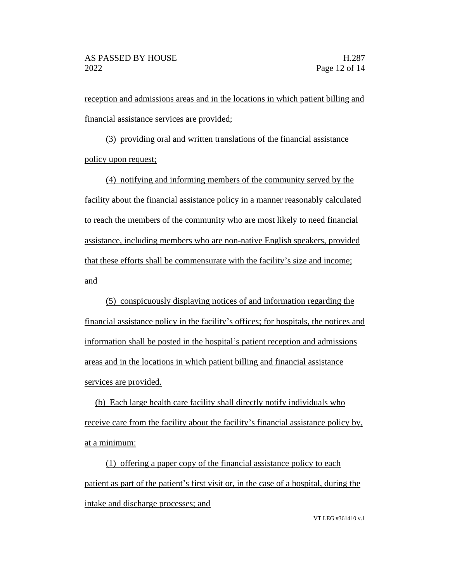reception and admissions areas and in the locations in which patient billing and financial assistance services are provided;

(3) providing oral and written translations of the financial assistance policy upon request;

(4) notifying and informing members of the community served by the facility about the financial assistance policy in a manner reasonably calculated to reach the members of the community who are most likely to need financial assistance, including members who are non-native English speakers, provided that these efforts shall be commensurate with the facility's size and income; and

(5) conspicuously displaying notices of and information regarding the financial assistance policy in the facility's offices; for hospitals, the notices and information shall be posted in the hospital's patient reception and admissions areas and in the locations in which patient billing and financial assistance services are provided.

(b) Each large health care facility shall directly notify individuals who receive care from the facility about the facility's financial assistance policy by, at a minimum:

(1) offering a paper copy of the financial assistance policy to each patient as part of the patient's first visit or, in the case of a hospital, during the intake and discharge processes; and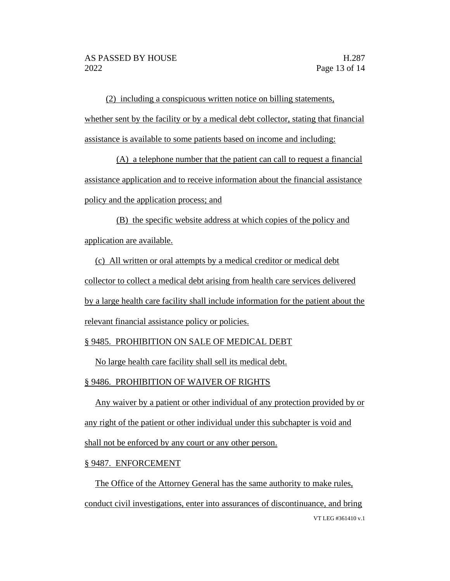(2) including a conspicuous written notice on billing statements, whether sent by the facility or by a medical debt collector, stating that financial assistance is available to some patients based on income and including:

(A) a telephone number that the patient can call to request a financial assistance application and to receive information about the financial assistance policy and the application process; and

(B) the specific website address at which copies of the policy and application are available.

(c) All written or oral attempts by a medical creditor or medical debt collector to collect a medical debt arising from health care services delivered by a large health care facility shall include information for the patient about the relevant financial assistance policy or policies.

## § 9485. PROHIBITION ON SALE OF MEDICAL DEBT

No large health care facility shall sell its medical debt.

## § 9486. PROHIBITION OF WAIVER OF RIGHTS

Any waiver by a patient or other individual of any protection provided by or any right of the patient or other individual under this subchapter is void and shall not be enforced by any court or any other person.

#### § 9487. ENFORCEMENT

VT LEG #361410 v.1 The Office of the Attorney General has the same authority to make rules, conduct civil investigations, enter into assurances of discontinuance, and bring